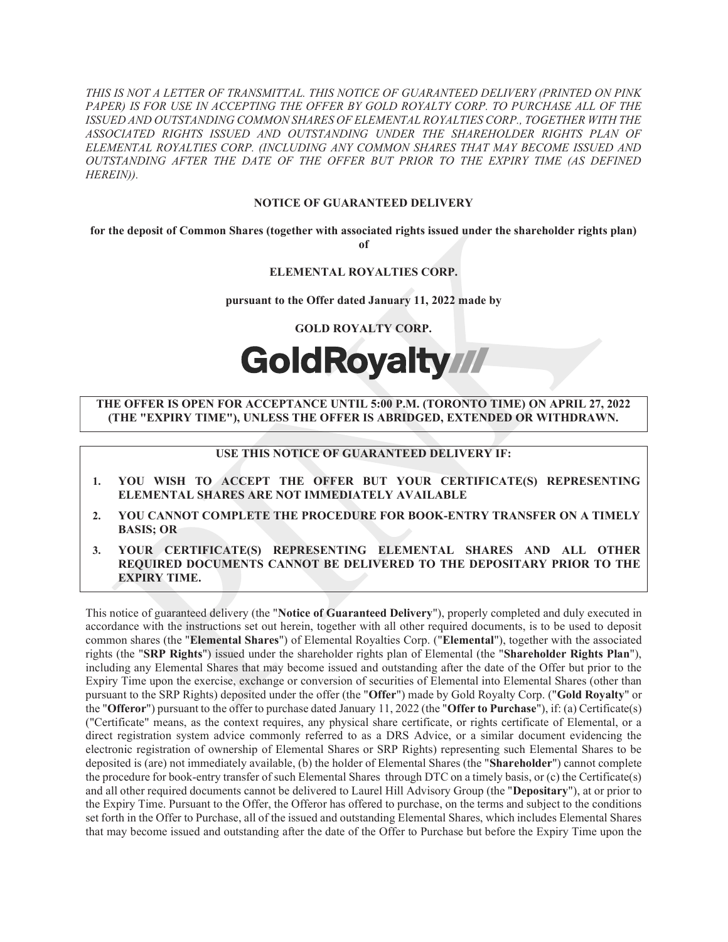THIS IS NOT A LETTER OF TRANSMITTAL. THIS NOTICE OF GUARANTEED DELIVERY (PRINTED ON PINK PAPER) IS FOR USE IN ACCEPTING THE OFFER BY GOLD ROYALTY CORP. TO PURCHASE ALL OF THE ISSUED AND OUTSTANDING COMMON SHARES OF ELEMENTAL ROYALTIES CORP., TOGETHER WITH THE ASSOCIATED RIGHTS ISSUED AND OUTSTANDING UNDER THE SHAREHOLDER RIGHTS PLAN OF ELEMENTAL ROYALTIES CORP. (INCLUDING ANY COMMON SHARES THAT MAY BECOME ISSUED AND OUTSTANDING AFTER THE DATE OF THE OFFER BUT PRIOR TO THE EXPIRY TIME (AS DEFINED HEREIN)).

## NOTICE OF GUARANTEED DELIVERY

for the deposit of Common Shares (together with associated rights issued under the shareholder rights plan) of

# ELEMENTAL ROYALTIES CORP.

#### pursuant to the Offer dated January 11, 2022 made by

GOLD ROYALTY CORP.

# GoldRoyalty //

# THE OFFER IS OPEN FOR ACCEPTANCE UNTIL 5:00 P.M. (TORONTO TIME) ON APRIL 2**7**, 2022 (THE "EXPIRY TIME"), UNLESS THE OFFER IS ABRIDGED, EXTENDED OR WITHDRAWN.

# USE THIS NOTICE OF GUARANTEED DELIVERY IF:

- 1. YOU WISH TO ACCEPT THE OFFER BUT YOUR CERTIFICATE(S) REPRESENTING ELEMENTAL SHARES ARE NOT IMMEDIATELY AVAILABLE
- 2. YOU CANNOT COMPLETE THE PROCEDURE FOR BOOK-ENTRY TRANSFER ON A TIMELY BASIS; OR
- 3. YOUR CERTIFICATE(S) REPRESENTING ELEMENTAL SHARES AND ALL OTHER REQUIRED DOCUMENTS CANNOT BE DELIVERED TO THE DEPOSITARY PRIOR TO THE EXPIRY TIME.

This notice of guaranteed delivery (the "Notice of Guaranteed Delivery"), properly completed and duly executed in accordance with the instructions set out herein, together with all other required documents, is to be used to deposit common shares (the "Elemental Shares") of Elemental Royalties Corp. ("Elemental"), together with the associated rights (the "SRP Rights") issued under the shareholder rights plan of Elemental (the "Shareholder Rights Plan"), including any Elemental Shares that may become issued and outstanding after the date of the Offer but prior to the Expiry Time upon the exercise, exchange or conversion of securities of Elemental into Elemental Shares (other than pursuant to the SRP Rights) deposited under the offer (the "Offer") made by Gold Royalty Corp. ("Gold Royalty" or the "Offeror") pursuant to the offer to purchase dated January 11, 2022 (the "Offer to Purchase"), if: (a) Certificate(s) ("Certificate" means, as the context requires, any physical share certificate, or rights certificate of Elemental, or a direct registration system advice commonly referred to as a DRS Advice, or a similar document evidencing the electronic registration of ownership of Elemental Shares or SRP Rights) representing such Elemental Shares to be deposited is (are) not immediately available, (b) the holder of Elemental Shares (the "Shareholder") cannot complete the procedure for book-entry transfer of such Elemental Shares through DTC on a timely basis, or (c) the Certificate(s) and all other required documents cannot be delivered to Laurel Hill Advisory Group (the "Depositary"), at or prior to the Expiry Time. Pursuant to the Offer, the Offeror has offered to purchase, on the terms and subject to the conditions set forth in the Offer to Purchase, all of the issued and outstanding Elemental Shares, which includes Elemental Shares that may become issued and outstanding after the date of the Offer to Purchase but before the Expiry Time upon the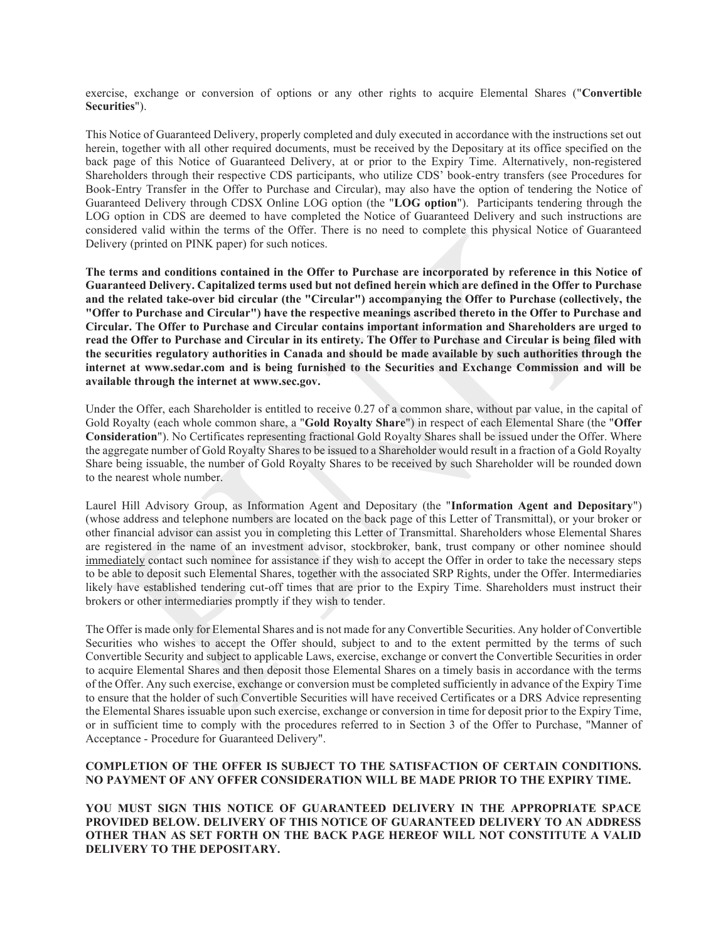exercise, exchange or conversion of options or any other rights to acquire Elemental Shares ("Convertible Securities").

This Notice of Guaranteed Delivery, properly completed and duly executed in accordance with the instructions set out herein, together with all other required documents, must be received by the Depositary at its office specified on the back page of this Notice of Guaranteed Delivery, at or prior to the Expiry Time. Alternatively, non-registered Shareholders through their respective CDS participants, who utilize CDS' book-entry transfers (see Procedures for Book-Entry Transfer in the Offer to Purchase and Circular), may also have the option of tendering the Notice of Guaranteed Delivery through CDSX Online LOG option (the "LOG option"). Participants tendering through the LOG option in CDS are deemed to have completed the Notice of Guaranteed Delivery and such instructions are considered valid within the terms of the Offer. There is no need to complete this physical Notice of Guaranteed Delivery (printed on PINK paper) for such notices.

The terms and conditions contained in the Offer to Purchase are incorporated by reference in this Notice of Guaranteed Delivery. Capitalized terms used but not defined herein which are defined in the Offer to Purchase and the related take-over bid circular (the "Circular") accompanying the Offer to Purchase (collectively, the "Offer to Purchase and Circular") have the respective meanings ascribed thereto in the Offer to Purchase and Circular. The Offer to Purchase and Circular contains important information and Shareholders are urged to read the Offer to Purchase and Circular in its entirety. The Offer to Purchase and Circular is being filed with the securities regulatory authorities in Canada and should be made available by such authorities through the internet at www.sedar.com and is being furnished to the Securities and Exchange Commission and will be available through the internet at www.sec.gov.

Under the Offer, each Shareholder is entitled to receive 0.27 of a common share, without par value, in the capital of Gold Royalty (each whole common share, a "Gold Royalty Share") in respect of each Elemental Share (the "Offer Consideration"). No Certificates representing fractional Gold Royalty Shares shall be issued under the Offer. Where the aggregate number of Gold Royalty Shares to be issued to a Shareholder would result in a fraction of a Gold Royalty Share being issuable, the number of Gold Royalty Shares to be received by such Shareholder will be rounded down to the nearest whole number.

Laurel Hill Advisory Group, as Information Agent and Depositary (the "Information Agent and Depositary") (whose address and telephone numbers are located on the back page of this Letter of Transmittal), or your broker or other financial advisor can assist you in completing this Letter of Transmittal. Shareholders whose Elemental Shares are registered in the name of an investment advisor, stockbroker, bank, trust company or other nominee should immediately contact such nominee for assistance if they wish to accept the Offer in order to take the necessary steps to be able to deposit such Elemental Shares, together with the associated SRP Rights, under the Offer. Intermediaries likely have established tendering cut-off times that are prior to the Expiry Time. Shareholders must instruct their brokers or other intermediaries promptly if they wish to tender.

The Offer is made only for Elemental Shares and is not made for any Convertible Securities. Any holder of Convertible Securities who wishes to accept the Offer should, subject to and to the extent permitted by the terms of such Convertible Security and subject to applicable Laws, exercise, exchange or convert the Convertible Securities in order to acquire Elemental Shares and then deposit those Elemental Shares on a timely basis in accordance with the terms of the Offer. Any such exercise, exchange or conversion must be completed sufficiently in advance of the Expiry Time to ensure that the holder of such Convertible Securities will have received Certificates or a DRS Advice representing the Elemental Shares issuable upon such exercise, exchange or conversion in time for deposit prior to the Expiry Time, or in sufficient time to comply with the procedures referred to in Section 3 of the Offer to Purchase, "Manner of Acceptance - Procedure for Guaranteed Delivery".

#### COMPLETION OF THE OFFER IS SUBJECT TO THE SATISFACTION OF CERTAIN CONDITIONS. NO PAYMENT OF ANY OFFER CONSIDERATION WILL BE MADE PRIOR TO THE EXPIRY TIME.

YOU MUST SIGN THIS NOTICE OF GUARANTEED DELIVERY IN THE APPROPRIATE SPACE PROVIDED BELOW. DELIVERY OF THIS NOTICE OF GUARANTEED DELIVERY TO AN ADDRESS OTHER THAN AS SET FORTH ON THE BACK PAGE HEREOF WILL NOT CONSTITUTE A VALID DELIVERY TO THE DEPOSITARY.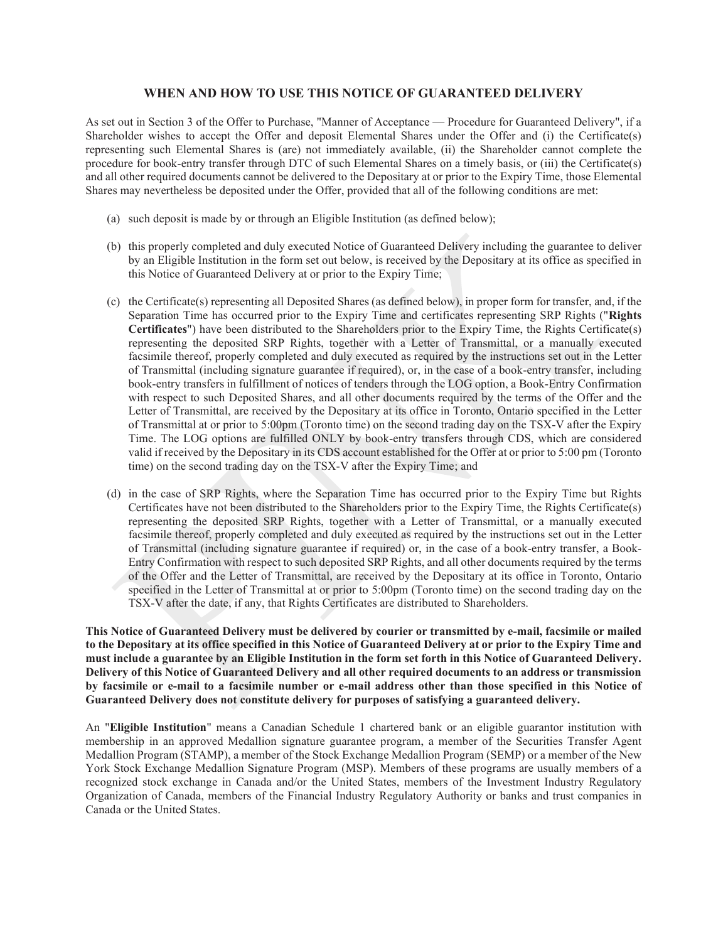## WHEN AND HOW TO USE THIS NOTICE OF GUARANTEED DELIVERY

As set out in Section 3 of the Offer to Purchase, "Manner of Acceptance — Procedure for Guaranteed Delivery", if a Shareholder wishes to accept the Offer and deposit Elemental Shares under the Offer and (i) the Certificate(s) representing such Elemental Shares is (are) not immediately available, (ii) the Shareholder cannot complete the procedure for book-entry transfer through DTC of such Elemental Shares on a timely basis, or (iii) the Certificate(s) and all other required documents cannot be delivered to the Depositary at or prior to the Expiry Time, those Elemental Shares may nevertheless be deposited under the Offer, provided that all of the following conditions are met:

- (a) such deposit is made by or through an Eligible Institution (as defined below);
- (b) this properly completed and duly executed Notice of Guaranteed Delivery including the guarantee to deliver by an Eligible Institution in the form set out below, is received by the Depositary at its office as specified in this Notice of Guaranteed Delivery at or prior to the Expiry Time;
- (c) the Certificate(s) representing all Deposited Shares (as defined below), in proper form for transfer, and, if the Separation Time has occurred prior to the Expiry Time and certificates representing SRP Rights ("Rights Certificates") have been distributed to the Shareholders prior to the Expiry Time, the Rights Certificate(s) representing the deposited SRP Rights, together with a Letter of Transmittal, or a manually executed facsimile thereof, properly completed and duly executed as required by the instructions set out in the Letter of Transmittal (including signature guarantee if required), or, in the case of a book-entry transfer, including book-entry transfers in fulfillment of notices of tenders through the LOG option, a Book-Entry Confirmation with respect to such Deposited Shares, and all other documents required by the terms of the Offer and the Letter of Transmittal, are received by the Depositary at its office in Toronto, Ontario specified in the Letter of Transmittal at or prior to 5:00pm (Toronto time) on the second trading day on the TSX-V after the Expiry Time. The LOG options are fulfilled ONLY by book-entry transfers through CDS, which are considered valid if received by the Depositary in its CDS account established for the Offer at or prior to 5:00 pm (Toronto time) on the second trading day on the TSX-V after the Expiry Time; and
- (d) in the case of SRP Rights, where the Separation Time has occurred prior to the Expiry Time but Rights Certificates have not been distributed to the Shareholders prior to the Expiry Time, the Rights Certificate(s) representing the deposited SRP Rights, together with a Letter of Transmittal, or a manually executed facsimile thereof, properly completed and duly executed as required by the instructions set out in the Letter of Transmittal (including signature guarantee if required) or, in the case of a book-entry transfer, a Book-Entry Confirmation with respect to such deposited SRP Rights, and all other documents required by the terms of the Offer and the Letter of Transmittal, are received by the Depositary at its office in Toronto, Ontario specified in the Letter of Transmittal at or prior to 5:00pm (Toronto time) on the second trading day on the TSX-V after the date, if any, that Rights Certificates are distributed to Shareholders.

This Notice of Guaranteed Delivery must be delivered by courier or transmitted by e-mail, facsimile or mailed to the Depositary at its office specified in this Notice of Guaranteed Delivery at or prior to the Expiry Time and must include a guarantee by an Eligible Institution in the form set forth in this Notice of Guaranteed Delivery. Delivery of this Notice of Guaranteed Delivery and all other required documents to an address or transmission by facsimile or e-mail to a facsimile number or e-mail address other than those specified in this Notice of Guaranteed Delivery does not constitute delivery for purposes of satisfying a guaranteed delivery.

An "Eligible Institution" means a Canadian Schedule 1 chartered bank or an eligible guarantor institution with membership in an approved Medallion signature guarantee program, a member of the Securities Transfer Agent Medallion Program (STAMP), a member of the Stock Exchange Medallion Program (SEMP) or a member of the New York Stock Exchange Medallion Signature Program (MSP). Members of these programs are usually members of a recognized stock exchange in Canada and/or the United States, members of the Investment Industry Regulatory Organization of Canada, members of the Financial Industry Regulatory Authority or banks and trust companies in Canada or the United States.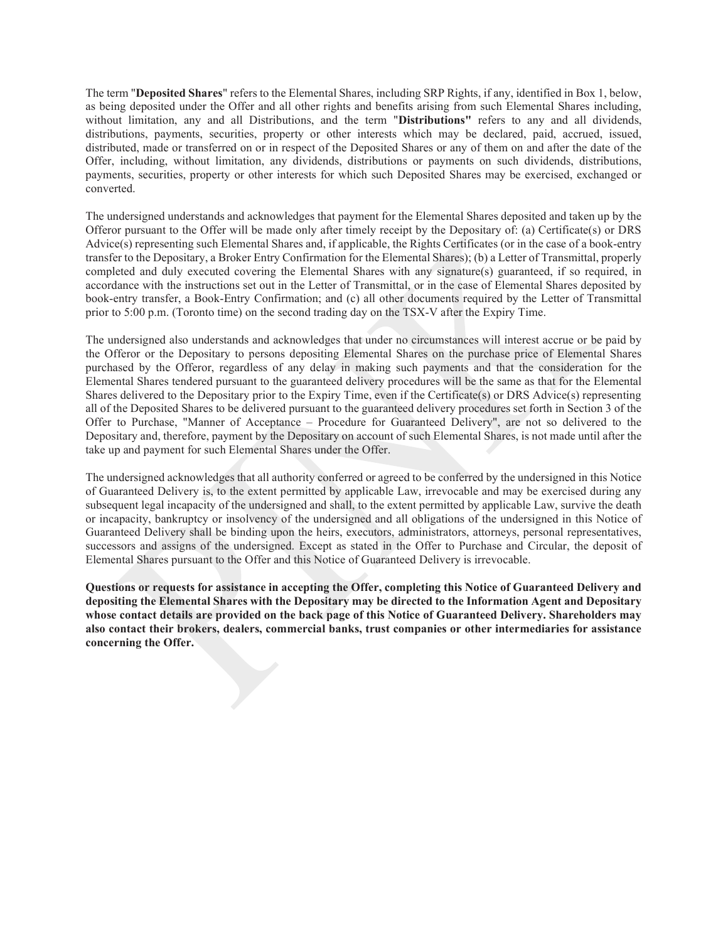The term "Deposited Shares" refers to the Elemental Shares, including SRP Rights, if any, identified in Box 1, below, as being deposited under the Offer and all other rights and benefits arising from such Elemental Shares including, without limitation, any and all Distributions, and the term "Distributions" refers to any and all dividends, distributions, payments, securities, property or other interests which may be declared, paid, accrued, issued, distributed, made or transferred on or in respect of the Deposited Shares or any of them on and after the date of the Offer, including, without limitation, any dividends, distributions or payments on such dividends, distributions, payments, securities, property or other interests for which such Deposited Shares may be exercised, exchanged or converted.

The undersigned understands and acknowledges that payment for the Elemental Shares deposited and taken up by the Offeror pursuant to the Offer will be made only after timely receipt by the Depositary of: (a) Certificate(s) or DRS Advice(s) representing such Elemental Shares and, if applicable, the Rights Certificates (or in the case of a book-entry transfer to the Depositary, a Broker Entry Confirmation for the Elemental Shares); (b) a Letter of Transmittal, properly completed and duly executed covering the Elemental Shares with any signature(s) guaranteed, if so required, in accordance with the instructions set out in the Letter of Transmittal, or in the case of Elemental Shares deposited by book-entry transfer, a Book-Entry Confirmation; and (c) all other documents required by the Letter of Transmittal prior to 5:00 p.m. (Toronto time) on the second trading day on the TSX-V after the Expiry Time.

The undersigned also understands and acknowledges that under no circumstances will interest accrue or be paid by the Offeror or the Depositary to persons depositing Elemental Shares on the purchase price of Elemental Shares purchased by the Offeror, regardless of any delay in making such payments and that the consideration for the Elemental Shares tendered pursuant to the guaranteed delivery procedures will be the same as that for the Elemental Shares delivered to the Depositary prior to the Expiry Time, even if the Certificate(s) or DRS Advice(s) representing all of the Deposited Shares to be delivered pursuant to the guaranteed delivery procedures set forth in Section 3 of the Offer to Purchase, "Manner of Acceptance – Procedure for Guaranteed Delivery", are not so delivered to the Depositary and, therefore, payment by the Depositary on account of such Elemental Shares, is not made until after the take up and payment for such Elemental Shares under the Offer.

The undersigned acknowledges that all authority conferred or agreed to be conferred by the undersigned in this Notice of Guaranteed Delivery is, to the extent permitted by applicable Law, irrevocable and may be exercised during any subsequent legal incapacity of the undersigned and shall, to the extent permitted by applicable Law, survive the death or incapacity, bankruptcy or insolvency of the undersigned and all obligations of the undersigned in this Notice of Guaranteed Delivery shall be binding upon the heirs, executors, administrators, attorneys, personal representatives, successors and assigns of the undersigned. Except as stated in the Offer to Purchase and Circular, the deposit of Elemental Shares pursuant to the Offer and this Notice of Guaranteed Delivery is irrevocable.

Questions or requests for assistance in accepting the Offer, completing this Notice of Guaranteed Delivery and depositing the Elemental Shares with the Depositary may be directed to the Information Agent and Depositary whose contact details are provided on the back page of this Notice of Guaranteed Delivery. Shareholders may also contact their brokers, dealers, commercial banks, trust companies or other intermediaries for assistance concerning the Offer.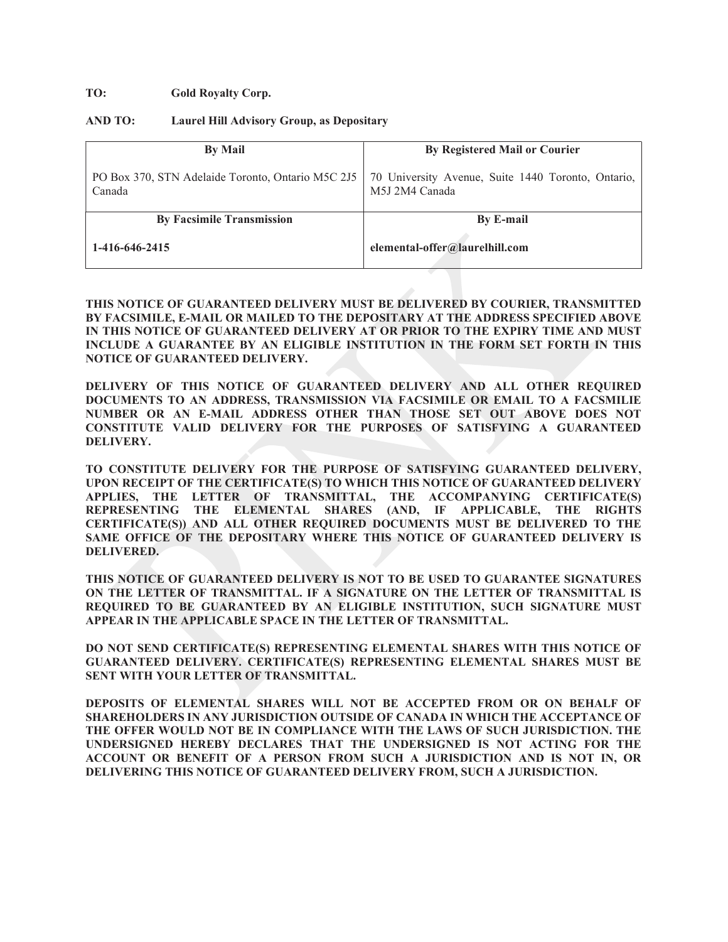#### TO: Gold Royalty Corp.

#### AND TO: Laurel Hill Advisory Group, as Depositary

| <b>By Mail</b>                                              | <b>By Registered Mail or Courier</b>                                 |
|-------------------------------------------------------------|----------------------------------------------------------------------|
| PO Box 370, STN Adelaide Toronto, Ontario M5C 2J5<br>Canada | 70 University Avenue, Suite 1440 Toronto, Ontario,<br>M5J 2M4 Canada |
| <b>By Facsimile Transmission</b>                            | <b>By E-mail</b>                                                     |
| 1-416-646-2415                                              | elemental-offer@laurelhill.com                                       |

#### THIS NOTICE OF GUARANTEED DELIVERY MUST BE DELIVERED BY COURIER, TRANSMITTED BY FACSIMILE, E-MAIL OR MAILED TO THE DEPOSITARY AT THE ADDRESS SPECIFIED ABOVE IN THIS NOTICE OF GUARANTEED DELIVERY AT OR PRIOR TO THE EXPIRY TIME AND MUST INCLUDE A GUARANTEE BY AN ELIGIBLE INSTITUTION IN THE FORM SET FORTH IN THIS NOTICE OF GUARANTEED DELIVERY.

DELIVERY OF THIS NOTICE OF GUARANTEED DELIVERY AND ALL OTHER REQUIRED DOCUMENTS TO AN ADDRESS, TRANSMISSION VIA FACSIMILE OR EMAIL TO A FACSMILIE NUMBER OR AN E-MAIL ADDRESS OTHER THAN THOSE SET OUT ABOVE DOES NOT CONSTITUTE VALID DELIVERY FOR THE PURPOSES OF SATISFYING A GUARANTEED DELIVERY.

TO CONSTITUTE DELIVERY FOR THE PURPOSE OF SATISFYING GUARANTEED DELIVERY, UPON RECEIPT OF THE CERTIFICATE(S) TO WHICH THIS NOTICE OF GUARANTEED DELIVERY APPLIES, THE LETTER OF TRANSMITTAL, THE ACCOMPANYING CERTIFICATE(S) REPRESENTING THE ELEMENTAL SHARES (AND, IF APPLICABLE, THE RIGHTS CERTIFICATE(S)) AND ALL OTHER REQUIRED DOCUMENTS MUST BE DELIVERED TO THE SAME OFFICE OF THE DEPOSITARY WHERE THIS NOTICE OF GUARANTEED DELIVERY IS DELIVERED.

THIS NOTICE OF GUARANTEED DELIVERY IS NOT TO BE USED TO GUARANTEE SIGNATURES ON THE LETTER OF TRANSMITTAL. IF A SIGNATURE ON THE LETTER OF TRANSMITTAL IS REQUIRED TO BE GUARANTEED BY AN ELIGIBLE INSTITUTION, SUCH SIGNATURE MUST APPEAR IN THE APPLICABLE SPACE IN THE LETTER OF TRANSMITTAL.

DO NOT SEND CERTIFICATE(S) REPRESENTING ELEMENTAL SHARES WITH THIS NOTICE OF GUARANTEED DELIVERY. CERTIFICATE(S) REPRESENTING ELEMENTAL SHARES MUST BE SENT WITH YOUR LETTER OF TRANSMITTAL.

DEPOSITS OF ELEMENTAL SHARES WILL NOT BE ACCEPTED FROM OR ON BEHALF OF SHAREHOLDERS IN ANY JURISDICTION OUTSIDE OF CANADA IN WHICH THE ACCEPTANCE OF THE OFFER WOULD NOT BE IN COMPLIANCE WITH THE LAWS OF SUCH JURISDICTION. THE UNDERSIGNED HEREBY DECLARES THAT THE UNDERSIGNED IS NOT ACTING FOR THE ACCOUNT OR BENEFIT OF A PERSON FROM SUCH A JURISDICTION AND IS NOT IN, OR DELIVERING THIS NOTICE OF GUARANTEED DELIVERY FROM, SUCH A JURISDICTION.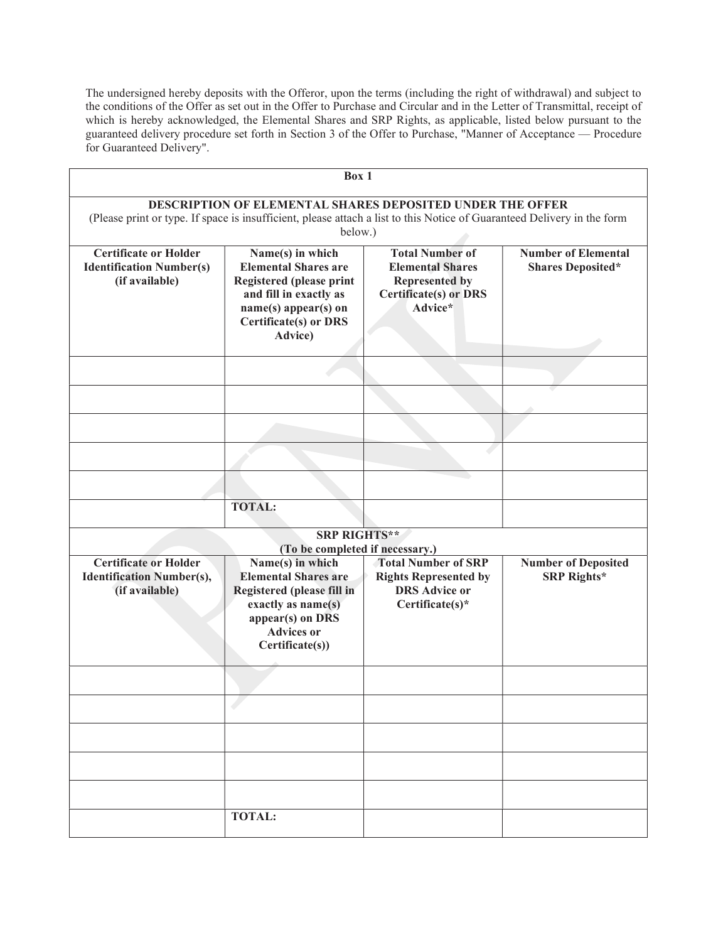The undersigned hereby deposits with the Offeror, upon the terms (including the right of withdrawal) and subject to the conditions of the Offer as set out in the Offer to Purchase and Circular and in the Letter of Transmittal, receipt of which is hereby acknowledged, the Elemental Shares and SRP Rights, as applicable, listed below pursuant to the guaranteed delivery procedure set forth in Section 3 of the Offer to Purchase, "Manner of Acceptance — Procedure for Guaranteed Delivery".

|                                                                                    | Box 1                                                                                                                                                                                                  |                                                                                                                       |                                                        |
|------------------------------------------------------------------------------------|--------------------------------------------------------------------------------------------------------------------------------------------------------------------------------------------------------|-----------------------------------------------------------------------------------------------------------------------|--------------------------------------------------------|
|                                                                                    | <b>DESCRIPTION OF ELEMENTAL SHARES DEPOSITED UNDER THE OFFER</b><br>(Please print or type. If space is insufficient, please attach a list to this Notice of Guaranteed Delivery in the form<br>below.) |                                                                                                                       |                                                        |
| <b>Certificate or Holder</b><br><b>Identification Number(s)</b><br>(if available)  | Name(s) in which<br><b>Elemental Shares are</b><br><b>Registered (please print</b><br>and fill in exactly as<br>name(s) appear(s) on<br><b>Certificate(s) or DRS</b><br>Advice)                        | <b>Total Number of</b><br><b>Elemental Shares</b><br><b>Represented by</b><br><b>Certificate(s) or DRS</b><br>Advice* | <b>Number of Elemental</b><br><b>Shares Deposited*</b> |
|                                                                                    |                                                                                                                                                                                                        |                                                                                                                       |                                                        |
|                                                                                    |                                                                                                                                                                                                        |                                                                                                                       |                                                        |
|                                                                                    |                                                                                                                                                                                                        |                                                                                                                       |                                                        |
|                                                                                    |                                                                                                                                                                                                        |                                                                                                                       |                                                        |
|                                                                                    |                                                                                                                                                                                                        |                                                                                                                       |                                                        |
|                                                                                    | <b>TOTAL:</b>                                                                                                                                                                                          |                                                                                                                       |                                                        |
|                                                                                    | <b>SRP RIGHTS**</b><br>(To be completed if necessary.)                                                                                                                                                 |                                                                                                                       |                                                        |
| <b>Certificate or Holder</b><br><b>Identification Number(s),</b><br>(if available) | Name(s) in which<br><b>Elemental Shares are</b><br>Registered (please fill in<br>exactly as name(s)<br>appear(s) on $\overline{DRS}$<br><b>Advices or</b><br>Certificate(s))                           | <b>Total Number of SRP</b><br><b>Rights Represented by</b><br><b>DRS</b> Advice or<br>Certificate(s)*                 | <b>Number of Deposited</b><br><b>SRP Rights*</b>       |
|                                                                                    |                                                                                                                                                                                                        |                                                                                                                       |                                                        |
|                                                                                    |                                                                                                                                                                                                        |                                                                                                                       |                                                        |
|                                                                                    |                                                                                                                                                                                                        |                                                                                                                       |                                                        |
|                                                                                    |                                                                                                                                                                                                        |                                                                                                                       |                                                        |
|                                                                                    |                                                                                                                                                                                                        |                                                                                                                       |                                                        |
|                                                                                    | <b>TOTAL:</b>                                                                                                                                                                                          |                                                                                                                       |                                                        |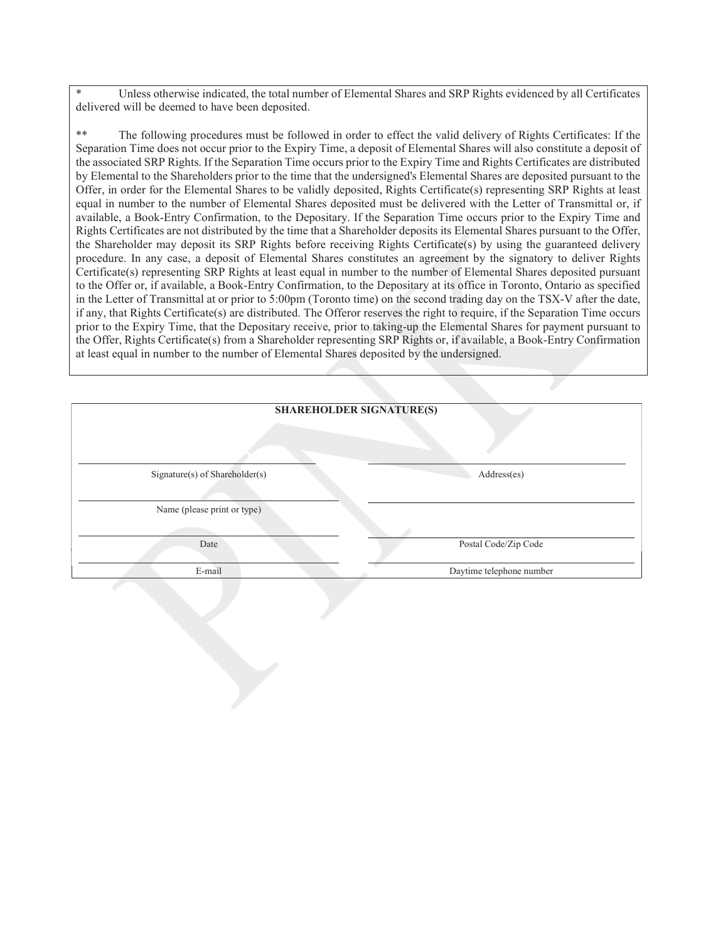Unless otherwise indicated, the total number of Elemental Shares and SRP Rights evidenced by all Certificates delivered will be deemed to have been deposited.

\*\* The following procedures must be followed in order to effect the valid delivery of Rights Certificates: If the Separation Time does not occur prior to the Expiry Time, a deposit of Elemental Shares will also constitute a deposit of the associated SRP Rights. If the Separation Time occurs prior to the Expiry Time and Rights Certificates are distributed by Elemental to the Shareholders prior to the time that the undersigned's Elemental Shares are deposited pursuant to the Offer, in order for the Elemental Shares to be validly deposited, Rights Certificate(s) representing SRP Rights at least equal in number to the number of Elemental Shares deposited must be delivered with the Letter of Transmittal or, if available, a Book-Entry Confirmation, to the Depositary. If the Separation Time occurs prior to the Expiry Time and Rights Certificates are not distributed by the time that a Shareholder deposits its Elemental Shares pursuant to the Offer, the Shareholder may deposit its SRP Rights before receiving Rights Certificate(s) by using the guaranteed delivery procedure. In any case, a deposit of Elemental Shares constitutes an agreement by the signatory to deliver Rights Certificate(s) representing SRP Rights at least equal in number to the number of Elemental Shares deposited pursuant to the Offer or, if available, a Book-Entry Confirmation, to the Depositary at its office in Toronto, Ontario as specified in the Letter of Transmittal at or prior to 5:00pm (Toronto time) on the second trading day on the TSX-V after the date, if any, that Rights Certificate(s) are distributed. The Offeror reserves the right to require, if the Separation Time occurs prior to the Expiry Time, that the Depositary receive, prior to taking-up the Elemental Shares for payment pursuant to the Offer, Rights Certificate(s) from a Shareholder representing SRP Rights or, if available, a Book-Entry Confirmation at least equal in number to the number of Elemental Shares deposited by the undersigned.

| <b>SHAREHOLDER SIGNATURE(S)</b> |                          |  |
|---------------------------------|--------------------------|--|
|                                 |                          |  |
| Signature(s) of Shareholder(s)  | Address(es)              |  |
| Name (please print or type)     |                          |  |
| Date                            | Postal Code/Zip Code     |  |
| E-mail                          | Daytime telephone number |  |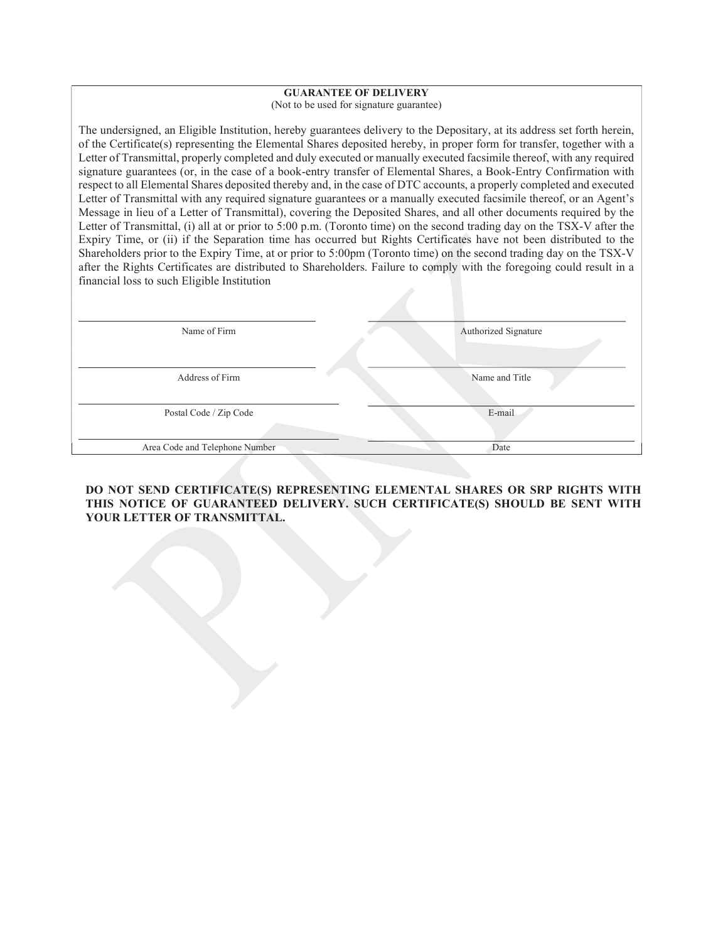# GUARANTEE OF DELIVERY

(Not to be used for signature guarantee)

The undersigned, an Eligible Institution, hereby guarantees delivery to the Depositary, at its address set forth herein, of the Certificate(s) representing the Elemental Shares deposited hereby, in proper form for transfer, together with a Letter of Transmittal, properly completed and duly executed or manually executed facsimile thereof, with any required signature guarantees (or, in the case of a book-entry transfer of Elemental Shares, a Book-Entry Confirmation with respect to all Elemental Shares deposited thereby and, in the case of DTC accounts, a properly completed and executed Letter of Transmittal with any required signature guarantees or a manually executed facsimile thereof, or an Agent's Message in lieu of a Letter of Transmittal), covering the Deposited Shares, and all other documents required by the Letter of Transmittal, (i) all at or prior to 5:00 p.m. (Toronto time) on the second trading day on the TSX-V after the Expiry Time, or (ii) if the Separation time has occurred but Rights Certificates have not been distributed to the Shareholders prior to the Expiry Time, at or prior to 5:00pm (Toronto time) on the second trading day on the TSX-V after the Rights Certificates are distributed to Shareholders. Failure to comply with the foregoing could result in a financial loss to such Eligible Institution

| Name of Firm                   | Authorized Signature |
|--------------------------------|----------------------|
| Address of Firm                | Name and Title       |
| Postal Code / Zip Code         | E-mail               |
| Area Code and Telephone Number | Date                 |

# DO NOT SEND CERTIFICATE(S) REPRESENTING ELEMENTAL SHARES OR SRP RIGHTS WITH THIS NOTICE OF GUARANTEED DELIVERY. SUCH CERTIFICATE(S) SHOULD BE SENT WITH YOUR LETTER OF TRANSMITTAL.